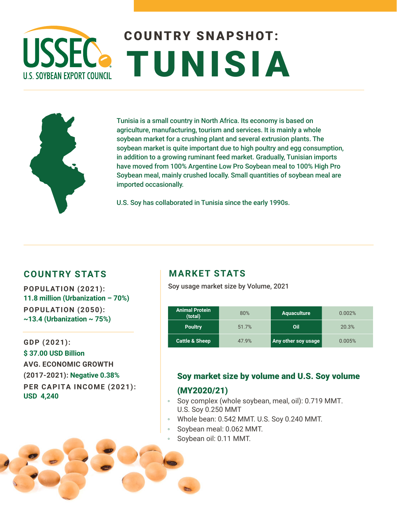# COUNTRY SNAPSHOT: **USSEC.** TUNISIA **U.S. SOYBEAN EXPORT COUNCIL**



Tunisia is a small country in North Africa. Its economy is based on agriculture, manufacturing, tourism and services. It is mainly a whole soybean market for a crushing plant and several extrusion plants. The soybean market is quite important due to high poultry and egg consumption, in addition to a growing ruminant feed market. Gradually, Tunisian imports have moved from 100% Argentine Low Pro Soybean meal to 100% High Pro Soybean meal, mainly crushed locally. Small quantities of soybean meal are imported occasionally.

U.S. Soy has collaborated in Tunisia since the early 1990s.

### **COUNTRY STATS MARKET STATS**

**11.8 million (Urbanization – 70%) POPULATION (2050): ~13.4 (Urbanization ~ 75%)** 

**GDP (2021): \$ 37.00 USD Billion AVG. ECONOMIC GROWTH (2017-2021): Negative 0.38% PER CAPITA INCOME (2021): USD 4,240** 

Soy usage market size by Volume, 2021 **POPULATION (2021):** 

| <b>Animal Protein</b><br>(total) | 80%   | <b>Aquaculture</b>  | 0.002% |
|----------------------------------|-------|---------------------|--------|
| <b>Poultry</b>                   | 51.7% | Oil                 | 20.3%  |
| <b>Cattle &amp; Sheep</b>        | 47.9% | Any other soy usage | 0.005% |

# Soy market size by volume and U.S. Soy volume

#### (MY2020/21)

- Soy complex (whole soybean, meal, oil): 0.719 MMT. U.S. Soy 0.250 MMT
- Whole bean: 0.542 MMT. U.S. Soy 0.240 MMT.
- Soybean meal: 0.062 MMT.
- Soybean oil: 0.11 MMT.